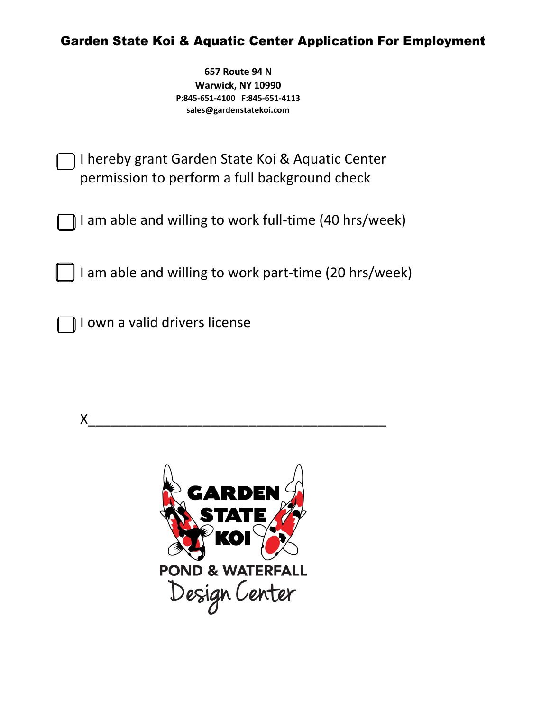## Garden State Koi & Aquatic Center Application For Employment

**657 Route 94 N Warwick, NY 10990 P:845-651-4100 F:845-651-4113 sales@gardenstatekoi.com**

I hereby grant Garden State Koi & Aquatic Center permission to perform a full background check

I am able and willing to work full-time (40 hrs/week)

I am able and willing to work part-time (20 hrs/week)

I own a valid drivers license



X\_\_\_\_\_\_\_\_\_\_\_\_\_\_\_\_\_\_\_\_\_\_\_\_\_\_\_\_\_\_\_\_\_\_\_\_\_\_\_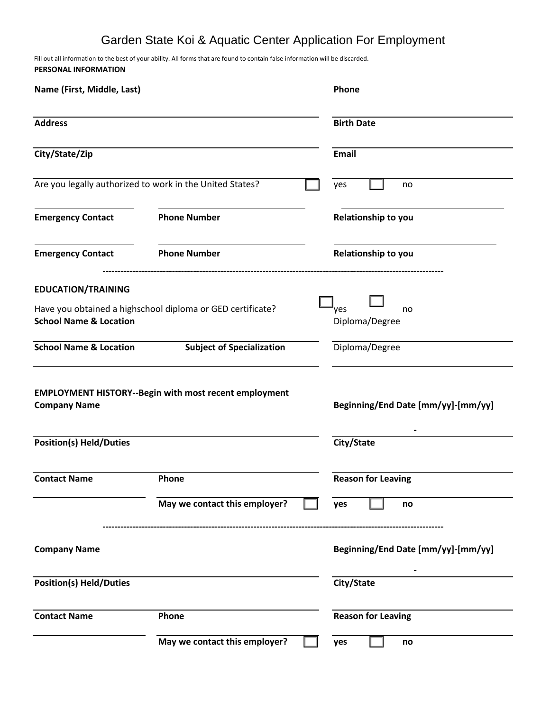## Garden State Koi & Aquatic Center Application For Employment

Fill out all information to the best of your ability. All forms that are found to contain false information will be discarded. **PERSONAL INFORMATION**

| Name (First, Middle, Last)                                                                      |                                                          | Phone                              |  |
|-------------------------------------------------------------------------------------------------|----------------------------------------------------------|------------------------------------|--|
| <b>Address</b>                                                                                  |                                                          | <b>Birth Date</b>                  |  |
| City/State/Zip                                                                                  |                                                          | <b>Email</b>                       |  |
|                                                                                                 | Are you legally authorized to work in the United States? | yes<br>no                          |  |
| <b>Emergency Contact</b>                                                                        | <b>Phone Number</b>                                      | Relationship to you                |  |
| <b>Emergency Contact</b>                                                                        | <b>Phone Number</b>                                      | Relationship to you                |  |
| <b>EDUCATION/TRAINING</b>                                                                       |                                                          |                                    |  |
| Have you obtained a highschool diploma or GED certificate?<br><b>School Name &amp; Location</b> |                                                          | yes<br>no<br>Diploma/Degree        |  |
| <b>School Name &amp; Location</b>                                                               | <b>Subject of Specialization</b>                         | Diploma/Degree                     |  |
| <b>EMPLOYMENT HISTORY--Begin with most recent employment</b><br><b>Company Name</b>             |                                                          | Beginning/End Date [mm/yy]-[mm/yy] |  |
| <b>Position(s) Held/Duties</b>                                                                  |                                                          | City/State                         |  |
| <b>Contact Name</b>                                                                             | Phone                                                    | <b>Reason for Leaving</b>          |  |
|                                                                                                 | May we contact this employer?                            | yes<br>no                          |  |
| <b>Company Name</b>                                                                             |                                                          | Beginning/End Date [mm/yy]-[mm/yy] |  |
| <b>Position(s) Held/Duties</b>                                                                  |                                                          | City/State                         |  |
| <b>Contact Name</b>                                                                             | Phone                                                    | <b>Reason for Leaving</b>          |  |
|                                                                                                 | May we contact this employer?                            | yes<br>no                          |  |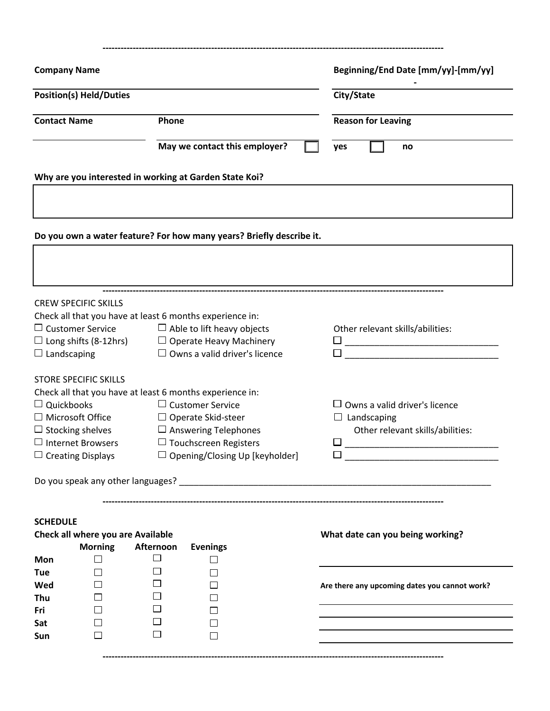| <b>Company Name</b>                                                                                                                                             |                                                                                                                                                                                                                          | Beginning/End Date [mm/yy]-[mm/yy]                                                                       |  |
|-----------------------------------------------------------------------------------------------------------------------------------------------------------------|--------------------------------------------------------------------------------------------------------------------------------------------------------------------------------------------------------------------------|----------------------------------------------------------------------------------------------------------|--|
| <b>Position(s) Held/Duties</b>                                                                                                                                  |                                                                                                                                                                                                                          | City/State                                                                                               |  |
| <b>Contact Name</b>                                                                                                                                             | Phone                                                                                                                                                                                                                    | <b>Reason for Leaving</b>                                                                                |  |
|                                                                                                                                                                 | May we contact this employer?                                                                                                                                                                                            | no<br>yes                                                                                                |  |
|                                                                                                                                                                 | Why are you interested in working at Garden State Koi?                                                                                                                                                                   |                                                                                                          |  |
|                                                                                                                                                                 | Do you own a water feature? For how many years? Briefly describe it.                                                                                                                                                     |                                                                                                          |  |
| <b>CREW SPECIFIC SKILLS</b><br>$\Box$ Customer Service<br>$\Box$ Landscaping                                                                                    | Check all that you have at least 6 months experience in:<br>$\Box$ Able to lift heavy objects<br>$\Box$ Long shifts (8-12hrs) $\Box$ Operate Heavy Machinery<br>$\Box$ Owns a valid driver's licence                     | Other relevant skills/abilities:                                                                         |  |
| <b>STORE SPECIFIC SKILLS</b><br>$\Box$ Quickbooks<br>$\Box$ Microsoft Office<br>$\Box$ Stocking shelves<br>$\Box$ Internet Browsers<br>$\Box$ Creating Displays | Check all that you have at least 6 months experience in:<br>$\Box$ Customer Service<br>$\Box$ Operate Skid-steer<br>$\Box$ Answering Telephones<br>$\Box$ Touchscreen Registers<br>$\Box$ Opening/Closing Up [keyholder] | $\Box$ Owns a valid driver's licence<br>$\Box$ Landscaping<br>Other relevant skills/abilities:<br>□<br>ப |  |
|                                                                                                                                                                 |                                                                                                                                                                                                                          |                                                                                                          |  |
| <b>SCHEDULE</b><br>Check all where you are Available<br><b>Morning</b><br>Mon<br>$\mathsf{L}$                                                                   | Afternoon<br><b>Evenings</b><br>$\Box$                                                                                                                                                                                   | What date can you being working?                                                                         |  |
| <b>Tue</b><br>Wed<br>Thu<br>Fri<br>Sat                                                                                                                          | $\overline{\phantom{a}}$<br>$\mathsf{L}$                                                                                                                                                                                 | Are there any upcoming dates you cannot work?                                                            |  |